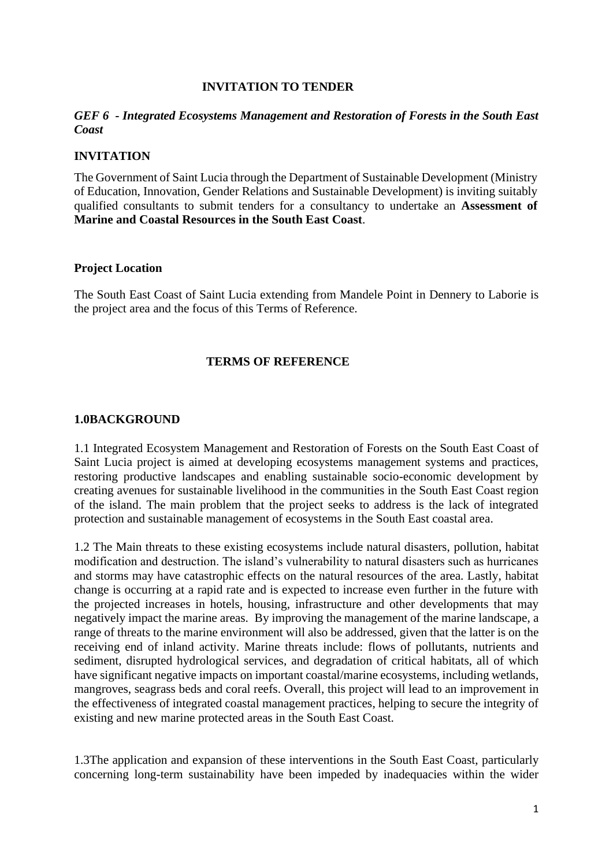#### **INVITATION TO TENDER**

### *GEF 6 - Integrated Ecosystems Management and Restoration of Forests in the South East Coast*

### **INVITATION**

The Government of Saint Lucia through the Department of Sustainable Development (Ministry of Education, Innovation, Gender Relations and Sustainable Development) is inviting suitably qualified consultants to submit tenders for a consultancy to undertake an **Assessment of Marine and Coastal Resources in the South East Coast**.

#### **Project Location**

The South East Coast of Saint Lucia extending from Mandele Point in Dennery to Laborie is the project area and the focus of this Terms of Reference.

#### **TERMS OF REFERENCE**

#### **1.0BACKGROUND**

1.1 Integrated Ecosystem Management and Restoration of Forests on the South East Coast of Saint Lucia project is aimed at developing ecosystems management systems and practices, restoring productive landscapes and enabling sustainable socio-economic development by creating avenues for sustainable livelihood in the communities in the South East Coast region of the island. The main problem that the project seeks to address is the lack of integrated protection and sustainable management of ecosystems in the South East coastal area.

1.2 The Main threats to these existing ecosystems include natural disasters, pollution, habitat modification and destruction. The island's vulnerability to natural disasters such as hurricanes and storms may have catastrophic effects on the natural resources of the area. Lastly, habitat change is occurring at a rapid rate and is expected to increase even further in the future with the projected increases in hotels, housing, infrastructure and other developments that may negatively impact the marine areas. By improving the management of the marine landscape, a range of threats to the marine environment will also be addressed, given that the latter is on the receiving end of inland activity. Marine threats include: flows of pollutants, nutrients and sediment, disrupted hydrological services, and degradation of critical habitats, all of which have significant negative impacts on important coastal/marine ecosystems, including wetlands, mangroves, seagrass beds and coral reefs. Overall, this project will lead to an improvement in the effectiveness of integrated coastal management practices, helping to secure the integrity of existing and new marine protected areas in the South East Coast.

1.3The application and expansion of these interventions in the South East Coast, particularly concerning long-term sustainability have been impeded by inadequacies within the wider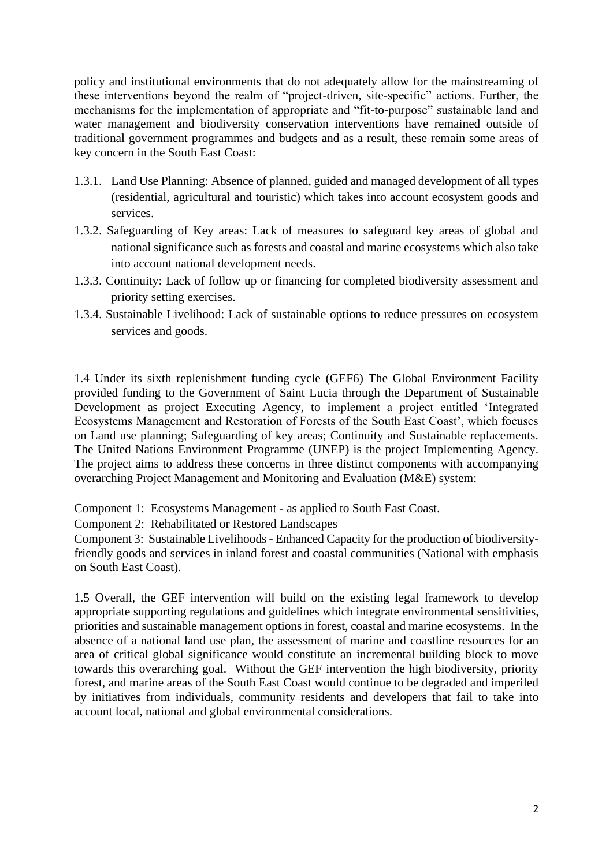policy and institutional environments that do not adequately allow for the mainstreaming of these interventions beyond the realm of "project-driven, site-specific" actions. Further, the mechanisms for the implementation of appropriate and "fit-to-purpose" sustainable land and water management and biodiversity conservation interventions have remained outside of traditional government programmes and budgets and as a result, these remain some areas of key concern in the South East Coast:

- 1.3.1. Land Use Planning: Absence of planned, guided and managed development of all types (residential, agricultural and touristic) which takes into account ecosystem goods and services.
- 1.3.2. Safeguarding of Key areas: Lack of measures to safeguard key areas of global and national significance such as forests and coastal and marine ecosystems which also take into account national development needs.
- 1.3.3. Continuity: Lack of follow up or financing for completed biodiversity assessment and priority setting exercises.
- 1.3.4. Sustainable Livelihood: Lack of sustainable options to reduce pressures on ecosystem services and goods.

1.4 Under its sixth replenishment funding cycle (GEF6) The Global Environment Facility provided funding to the Government of Saint Lucia through the Department of Sustainable Development as project Executing Agency, to implement a project entitled 'Integrated Ecosystems Management and Restoration of Forests of the South East Coast', which focuses on Land use planning; Safeguarding of key areas; Continuity and Sustainable replacements. The United Nations Environment Programme (UNEP) is the project Implementing Agency. The project aims to address these concerns in three distinct components with accompanying overarching Project Management and Monitoring and Evaluation (M&E) system:

Component 1: Ecosystems Management - as applied to South East Coast.

Component 2: Rehabilitated or Restored Landscapes

Component 3: Sustainable Livelihoods - Enhanced Capacity for the production of biodiversityfriendly goods and services in inland forest and coastal communities (National with emphasis on South East Coast).

1.5 Overall, the GEF intervention will build on the existing legal framework to develop appropriate supporting regulations and guidelines which integrate environmental sensitivities, priorities and sustainable management options in forest, coastal and marine ecosystems. In the absence of a national land use plan, the assessment of marine and coastline resources for an area of critical global significance would constitute an incremental building block to move towards this overarching goal. Without the GEF intervention the high biodiversity, priority forest, and marine areas of the South East Coast would continue to be degraded and imperiled by initiatives from individuals, community residents and developers that fail to take into account local, national and global environmental considerations.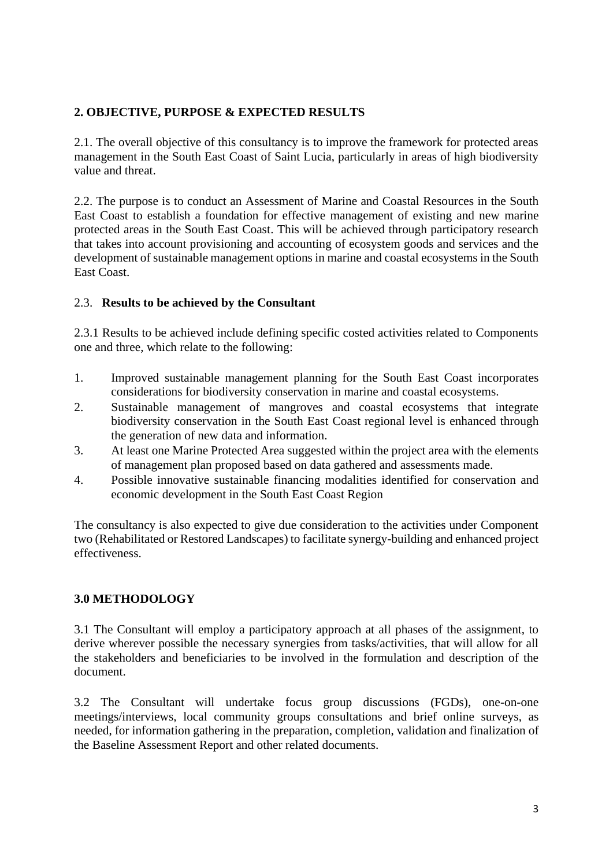# **2. OBJECTIVE, PURPOSE & EXPECTED RESULTS**

2.1. The overall objective of this consultancy is to improve the framework for protected areas management in the South East Coast of Saint Lucia, particularly in areas of high biodiversity value and threat.

2.2. The purpose is to conduct an Assessment of Marine and Coastal Resources in the South East Coast to establish a foundation for effective management of existing and new marine protected areas in the South East Coast. This will be achieved through participatory research that takes into account provisioning and accounting of ecosystem goods and services and the development of sustainable management options in marine and coastal ecosystems in the South East Coast.

## 2.3. **Results to be achieved by the Consultant**

2.3.1 Results to be achieved include defining specific costed activities related to Components one and three, which relate to the following:

- 1. Improved sustainable management planning for the South East Coast incorporates considerations for biodiversity conservation in marine and coastal ecosystems.
- 2. Sustainable management of mangroves and coastal ecosystems that integrate biodiversity conservation in the South East Coast regional level is enhanced through the generation of new data and information.
- 3. At least one Marine Protected Area suggested within the project area with the elements of management plan proposed based on data gathered and assessments made.
- 4. Possible innovative sustainable financing modalities identified for conservation and economic development in the South East Coast Region

The consultancy is also expected to give due consideration to the activities under Component two (Rehabilitated or Restored Landscapes) to facilitate synergy-building and enhanced project effectiveness.

# **3.0 METHODOLOGY**

3.1 The Consultant will employ a participatory approach at all phases of the assignment, to derive wherever possible the necessary synergies from tasks/activities, that will allow for all the stakeholders and beneficiaries to be involved in the formulation and description of the document.

3.2 The Consultant will undertake focus group discussions (FGDs), one-on-one meetings/interviews, local community groups consultations and brief online surveys, as needed, for information gathering in the preparation, completion, validation and finalization of the Baseline Assessment Report and other related documents.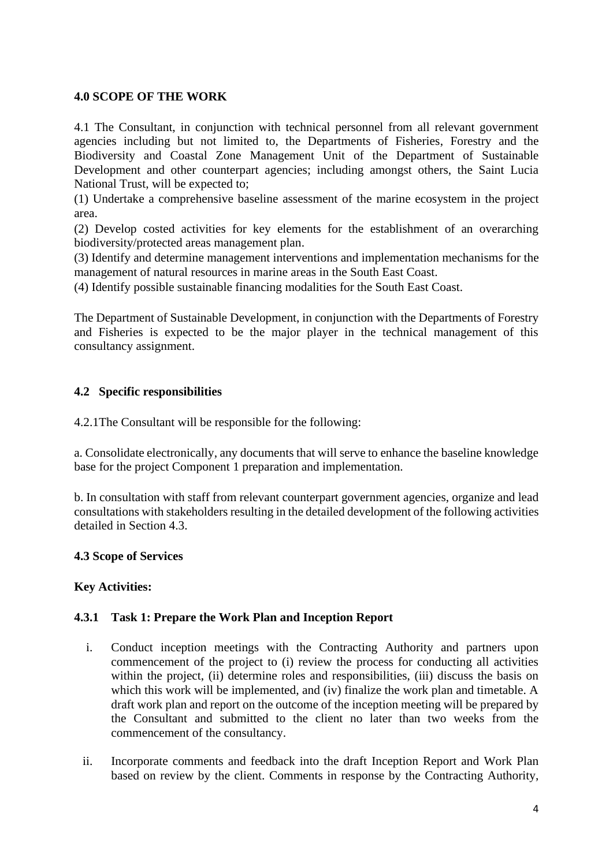## **4.0 SCOPE OF THE WORK**

4.1 The Consultant, in conjunction with technical personnel from all relevant government agencies including but not limited to, the Departments of Fisheries, Forestry and the Biodiversity and Coastal Zone Management Unit of the Department of Sustainable Development and other counterpart agencies; including amongst others, the Saint Lucia National Trust, will be expected to;

(1) Undertake a comprehensive baseline assessment of the marine ecosystem in the project area.

(2) Develop costed activities for key elements for the establishment of an overarching biodiversity/protected areas management plan.

(3) Identify and determine management interventions and implementation mechanisms for the management of natural resources in marine areas in the South East Coast.

(4) Identify possible sustainable financing modalities for the South East Coast.

The Department of Sustainable Development, in conjunction with the Departments of Forestry and Fisheries is expected to be the major player in the technical management of this consultancy assignment.

### **4.2 Specific responsibilities**

4.2.1The Consultant will be responsible for the following:

a. Consolidate electronically, any documents that will serve to enhance the baseline knowledge base for the project Component 1 preparation and implementation.

b. In consultation with staff from relevant counterpart government agencies, organize and lead consultations with stakeholders resulting in the detailed development of the following activities detailed in Section 4.3.

### **4.3 Scope of Services**

### **Key Activities:**

### **4.3.1 Task 1: Prepare the Work Plan and Inception Report**

- i. Conduct inception meetings with the Contracting Authority and partners upon commencement of the project to (i) review the process for conducting all activities within the project, (ii) determine roles and responsibilities, (iii) discuss the basis on which this work will be implemented, and (iv) finalize the work plan and timetable. A draft work plan and report on the outcome of the inception meeting will be prepared by the Consultant and submitted to the client no later than two weeks from the commencement of the consultancy.
- ii. Incorporate comments and feedback into the draft Inception Report and Work Plan based on review by the client. Comments in response by the Contracting Authority,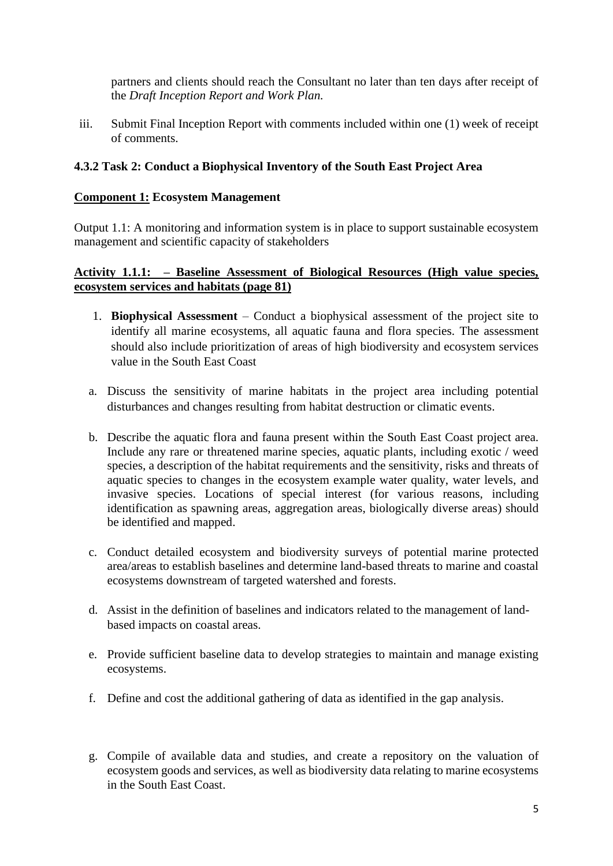partners and clients should reach the Consultant no later than ten days after receipt of the *Draft Inception Report and Work Plan.*

iii. Submit Final Inception Report with comments included within one (1) week of receipt of comments.

### **4.3.2 Task 2: Conduct a Biophysical Inventory of the South East Project Area**

### **Component 1: Ecosystem Management**

Output 1.1: A monitoring and information system is in place to support sustainable ecosystem management and scientific capacity of stakeholders

### **Activity 1.1.1: – Baseline Assessment of Biological Resources (High value species, ecosystem services and habitats (page 81)**

- 1. **Biophysical Assessment** Conduct a biophysical assessment of the project site to identify all marine ecosystems, all aquatic fauna and flora species. The assessment should also include prioritization of areas of high biodiversity and ecosystem services value in the South East Coast
- a. Discuss the sensitivity of marine habitats in the project area including potential disturbances and changes resulting from habitat destruction or climatic events.
- b. Describe the aquatic flora and fauna present within the South East Coast project area. Include any rare or threatened marine species, aquatic plants, including exotic / weed species, a description of the habitat requirements and the sensitivity, risks and threats of aquatic species to changes in the ecosystem example water quality, water levels, and invasive species. Locations of special interest (for various reasons, including identification as spawning areas, aggregation areas, biologically diverse areas) should be identified and mapped.
- c. Conduct detailed ecosystem and biodiversity surveys of potential marine protected area/areas to establish baselines and determine land-based threats to marine and coastal ecosystems downstream of targeted watershed and forests.
- d. Assist in the definition of baselines and indicators related to the management of landbased impacts on coastal areas.
- e. Provide sufficient baseline data to develop strategies to maintain and manage existing ecosystems.
- f. Define and cost the additional gathering of data as identified in the gap analysis.
- g. Compile of available data and studies, and create a repository on the valuation of ecosystem goods and services, as well as biodiversity data relating to marine ecosystems in the South East Coast.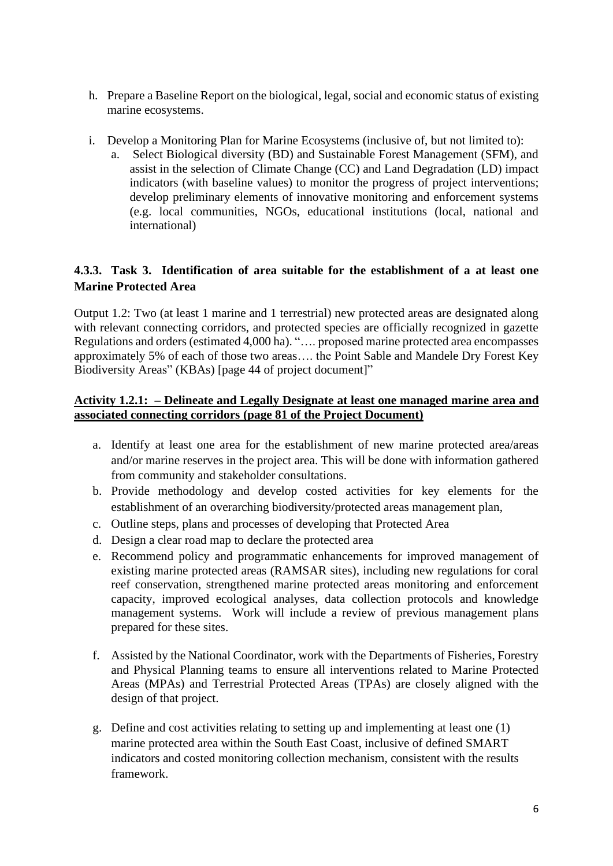- h. Prepare a Baseline Report on the biological, legal, social and economic status of existing marine ecosystems.
- i. Develop a Monitoring Plan for Marine Ecosystems (inclusive of, but not limited to):
	- a. Select Biological diversity (BD) and Sustainable Forest Management (SFM), and assist in the selection of Climate Change (CC) and Land Degradation (LD) impact indicators (with baseline values) to monitor the progress of project interventions; develop preliminary elements of innovative monitoring and enforcement systems (e.g. local communities, NGOs, educational institutions (local, national and international)

# **4.3.3. Task 3. Identification of area suitable for the establishment of a at least one Marine Protected Area**

Output 1.2: Two (at least 1 marine and 1 terrestrial) new protected areas are designated along with relevant connecting corridors, and protected species are officially recognized in gazette Regulations and orders (estimated 4,000 ha). "…. proposed marine protected area encompasses approximately 5% of each of those two areas…. the Point Sable and Mandele Dry Forest Key Biodiversity Areas" (KBAs) [page 44 of project document]"

## **Activity 1.2.1: – Delineate and Legally Designate at least one managed marine area and associated connecting corridors (page 81 of the Project Document)**

- a. Identify at least one area for the establishment of new marine protected area/areas and/or marine reserves in the project area. This will be done with information gathered from community and stakeholder consultations.
- b. Provide methodology and develop costed activities for key elements for the establishment of an overarching biodiversity/protected areas management plan,
- c. Outline steps, plans and processes of developing that Protected Area
- d. Design a clear road map to declare the protected area
- e. Recommend policy and programmatic enhancements for improved management of existing marine protected areas (RAMSAR sites), including new regulations for coral reef conservation, strengthened marine protected areas monitoring and enforcement capacity, improved ecological analyses, data collection protocols and knowledge management systems. Work will include a review of previous management plans prepared for these sites.
- f. Assisted by the National Coordinator, work with the Departments of Fisheries, Forestry and Physical Planning teams to ensure all interventions related to Marine Protected Areas (MPAs) and Terrestrial Protected Areas (TPAs) are closely aligned with the design of that project.
- g. Define and cost activities relating to setting up and implementing at least one (1) marine protected area within the South East Coast, inclusive of defined SMART indicators and costed monitoring collection mechanism, consistent with the results framework.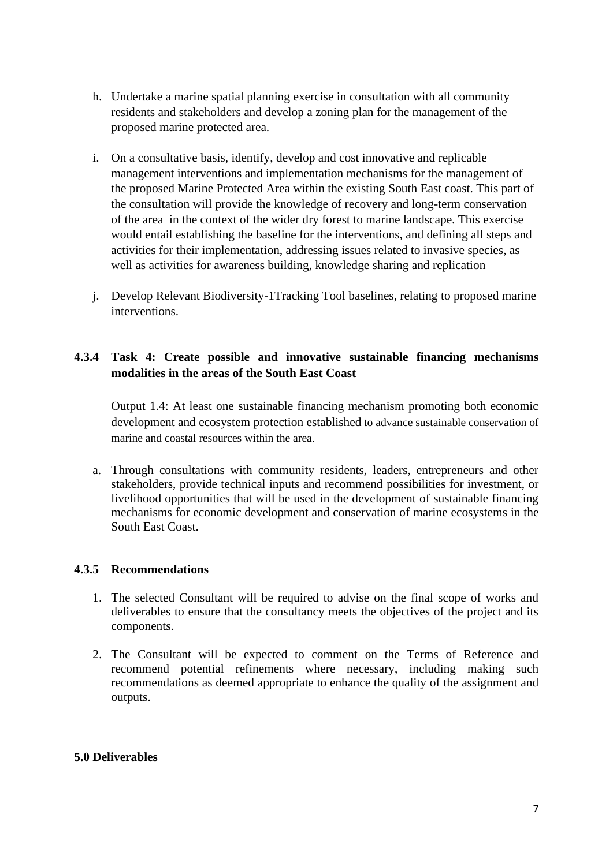- h. Undertake a marine spatial planning exercise in consultation with all community residents and stakeholders and develop a zoning plan for the management of the proposed marine protected area.
- i. On a consultative basis, identify, develop and cost innovative and replicable management interventions and implementation mechanisms for the management of the proposed Marine Protected Area within the existing South East coast. This part of the consultation will provide the knowledge of recovery and long-term conservation of the area in the context of the wider dry forest to marine landscape. This exercise would entail establishing the baseline for the interventions, and defining all steps and activities for their implementation, addressing issues related to invasive species, as well as activities for awareness building, knowledge sharing and replication
- j. Develop Relevant Biodiversity-1Tracking Tool baselines, relating to proposed marine interventions.

## **4.3.4 Task 4: Create possible and innovative sustainable financing mechanisms modalities in the areas of the South East Coast**

Output 1.4: At least one sustainable financing mechanism promoting both economic development and ecosystem protection established to advance sustainable conservation of marine and coastal resources within the area.

a. Through consultations with community residents, leaders, entrepreneurs and other stakeholders, provide technical inputs and recommend possibilities for investment, or livelihood opportunities that will be used in the development of sustainable financing mechanisms for economic development and conservation of marine ecosystems in the South East Coast.

#### **4.3.5 Recommendations**

- 1. The selected Consultant will be required to advise on the final scope of works and deliverables to ensure that the consultancy meets the objectives of the project and its components.
- 2. The Consultant will be expected to comment on the Terms of Reference and recommend potential refinements where necessary, including making such recommendations as deemed appropriate to enhance the quality of the assignment and outputs.

#### **5.0 Deliverables**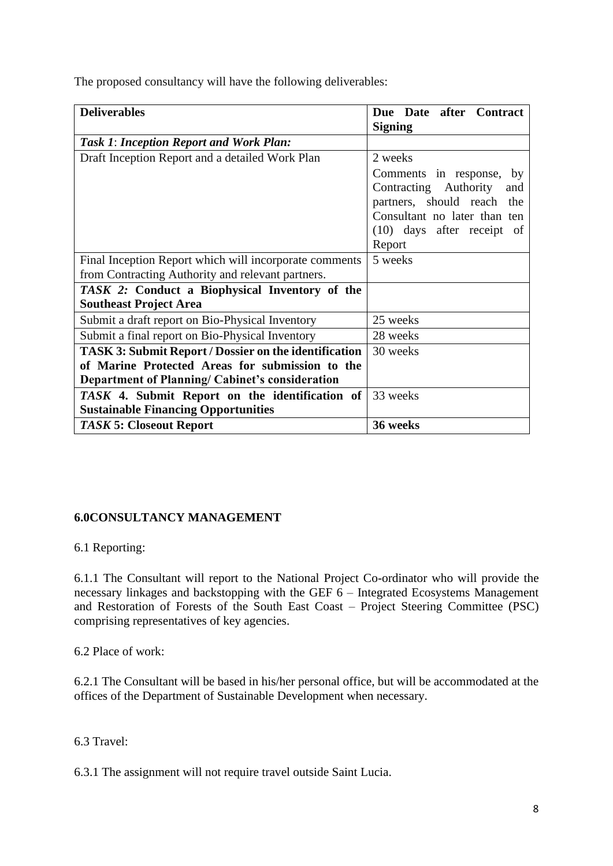The proposed consultancy will have the following deliverables:

| <b>Deliverables</b>                                          | Due Date after Contract      |
|--------------------------------------------------------------|------------------------------|
|                                                              | <b>Signing</b>               |
| <b>Task 1: Inception Report and Work Plan:</b>               |                              |
| Draft Inception Report and a detailed Work Plan              | 2 weeks                      |
|                                                              | Comments in response, by     |
|                                                              | Contracting Authority<br>and |
|                                                              | partners, should reach the   |
|                                                              | Consultant no later than ten |
|                                                              | $(10)$ days after receipt of |
|                                                              | Report                       |
| Final Inception Report which will incorporate comments       | 5 weeks                      |
| from Contracting Authority and relevant partners.            |                              |
| TASK 2: Conduct a Biophysical Inventory of the               |                              |
| <b>Southeast Project Area</b>                                |                              |
| Submit a draft report on Bio-Physical Inventory              | 25 weeks                     |
| Submit a final report on Bio-Physical Inventory              | 28 weeks                     |
| <b>TASK 3: Submit Report / Dossier on the identification</b> | 30 weeks                     |
| of Marine Protected Areas for submission to the              |                              |
| <b>Department of Planning/ Cabinet's consideration</b>       |                              |
| TASK 4. Submit Report on the identification of               | 33 weeks                     |
| <b>Sustainable Financing Opportunities</b>                   |                              |
| <b>TASK 5: Closeout Report</b>                               | 36 weeks                     |

# **6.0CONSULTANCY MANAGEMENT**

6.1 Reporting:

6.1.1 The Consultant will report to the National Project Co-ordinator who will provide the necessary linkages and backstopping with the GEF 6 – Integrated Ecosystems Management and Restoration of Forests of the South East Coast – Project Steering Committee (PSC) comprising representatives of key agencies.

6.2 Place of work:

6.2.1 The Consultant will be based in his/her personal office, but will be accommodated at the offices of the Department of Sustainable Development when necessary.

6.3 Travel:

6.3.1 The assignment will not require travel outside Saint Lucia.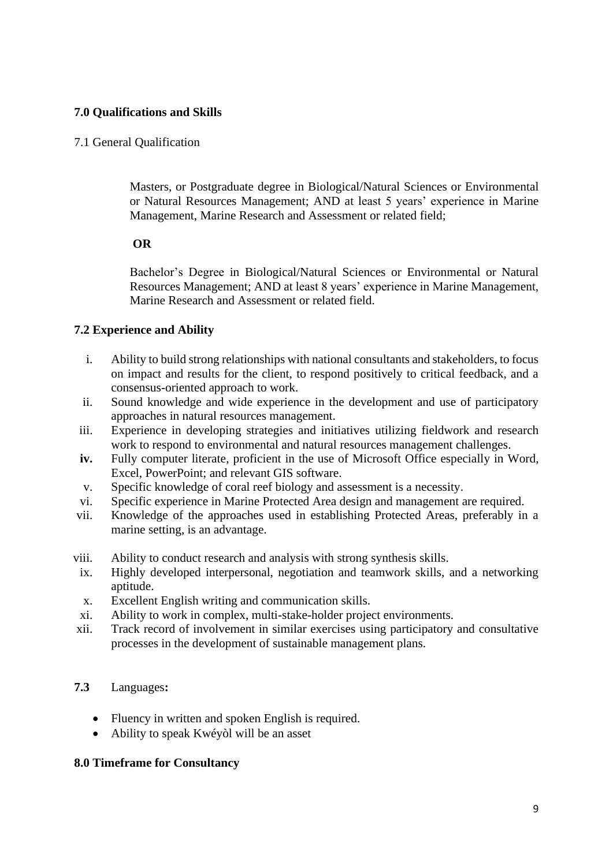## **7.0 Qualifications and Skills**

### 7.1 General Qualification

Masters, or Postgraduate degree in Biological/Natural Sciences or Environmental or Natural Resources Management; AND at least 5 years' experience in Marine Management, Marine Research and Assessment or related field;

### **OR**

Bachelor's Degree in Biological/Natural Sciences or Environmental or Natural Resources Management; AND at least 8 years' experience in Marine Management, Marine Research and Assessment or related field.

### **7.2 Experience and Ability**

- i. Ability to build strong relationships with national consultants and stakeholders, to focus on impact and results for the client, to respond positively to critical feedback, and a consensus-oriented approach to work.
- ii. Sound knowledge and wide experience in the development and use of participatory approaches in natural resources management.
- iii. Experience in developing strategies and initiatives utilizing fieldwork and research work to respond to environmental and natural resources management challenges.
- **iv.** Fully computer literate, proficient in the use of Microsoft Office especially in Word, Excel, PowerPoint; and relevant GIS software.
- v. Specific knowledge of coral reef biology and assessment is a necessity.
- vi. Specific experience in Marine Protected Area design and management are required.
- vii. Knowledge of the approaches used in establishing Protected Areas, preferably in a marine setting, is an advantage.
- viii. Ability to conduct research and analysis with strong synthesis skills.
- ix. Highly developed interpersonal, negotiation and teamwork skills, and a networking aptitude.
- x. Excellent English writing and communication skills.
- xi. Ability to work in complex, multi-stake-holder project environments.
- xii. Track record of involvement in similar exercises using participatory and consultative processes in the development of sustainable management plans.

# **7.3** Languages**:**

- Fluency in written and spoken English is required.
- Ability to speak Kwéyòl will be an asset

#### **8.0 Timeframe for Consultancy**